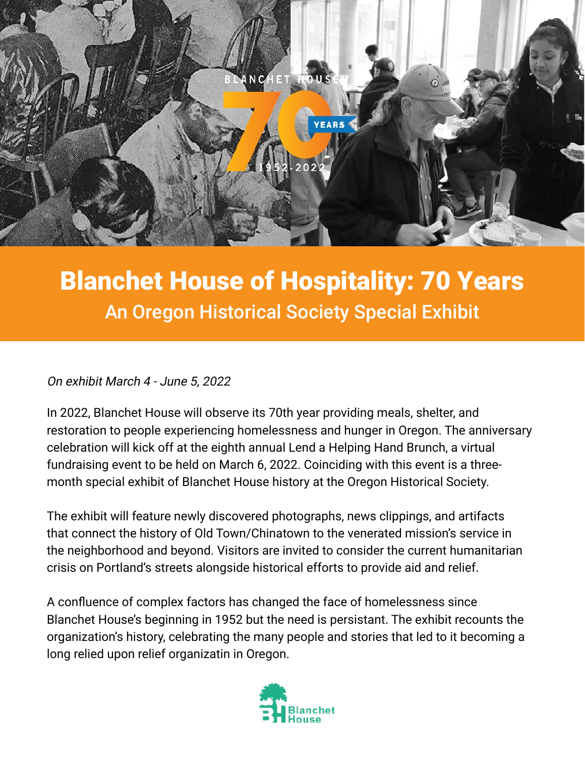

# Blanchet House of Hospitality: 70 Years An Oregon Historical Society Special Exhibit

## On exhibit March 4 - June 5, 2022

In 2022, Blanchet House will observe its 70th year providing meals, shelter, and restoration to people experiencing homelessness and hunger in Oregon. The anniversary celebration will kick off at the eighth annual Lend a Helping Hand Brunch, a virtual fundraising event to be held on March 6, 2022. Coinciding with this event is a threemonth special exhibit of Blanchet House history at the Oregon Historical Society.

The exhibit will feature newly discovered photographs, news clippings, and artifacts that connect the history of Old Town/Chinatown to the venerated mission's service in the neighborhood and beyond. Visitors are invited to consider the current humanitarian crisis on Portland's streets alongside historical efforts to provide aid and relief.

A confluence of complex factors has changed the face of homelessness since Blanchet House's beginning in 1952 but the need is persistant. The exhibit recounts the organization's history, celebrating the many people and stories that led to it becoming a long relied upon relief organizatin in Oregon.